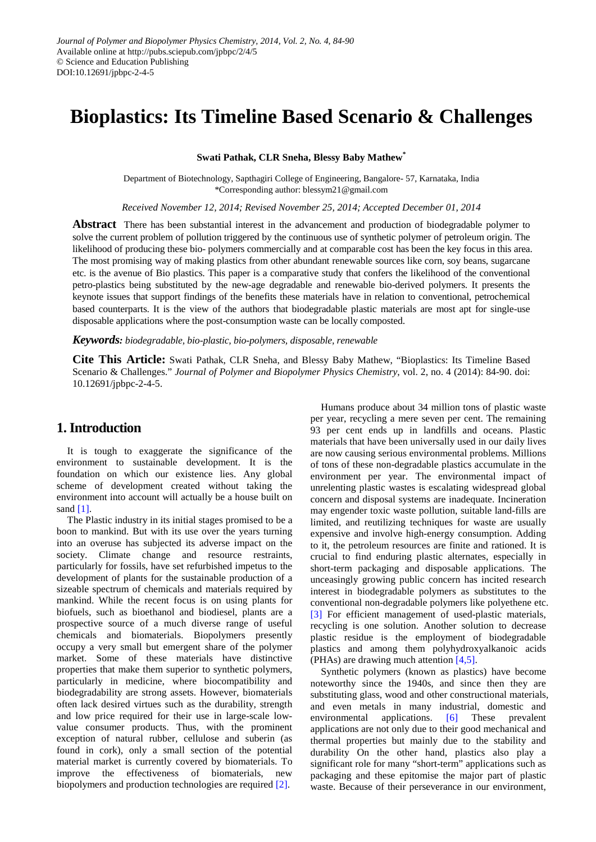# **Bioplastics: Its Timeline Based Scenario & Challenges**

**Swati Pathak, CLR Sneha, Blessy Baby Mathew\***

Department of Biotechnology, Sapthagiri College of Engineering, Bangalore- 57, Karnataka, India \*Corresponding author: blessym21@gmail.com

*Received November 12, 2014; Revised November 25, 2014; Accepted December 01, 2014*

**Abstract** There has been substantial interest in the advancement and production of biodegradable polymer to solve the current problem of pollution triggered by the continuous use of synthetic polymer of petroleum origin. The likelihood of producing these bio- polymers commercially and at comparable cost has been the key focus in this area. The most promising way of making plastics from other abundant renewable sources like corn, soy beans, sugarcane etc. is the avenue of Bio plastics. This paper is a comparative study that confers the likelihood of the conventional petro-plastics being substituted by the new-age degradable and renewable bio-derived polymers. It presents the keynote issues that support findings of the benefits these materials have in relation to conventional, petrochemical based counterparts. It is the view of the authors that biodegradable plastic materials are most apt for single-use disposable applications where the post-consumption waste can be locally composted.

*Keywords: biodegradable, bio-plastic, bio-polymers, disposable, renewable*

**Cite This Article:** Swati Pathak, CLR Sneha, and Blessy Baby Mathew, "Bioplastics: Its Timeline Based Scenario & Challenges." *Journal of Polymer and Biopolymer Physics Chemistry*, vol. 2, no. 4 (2014): 84-90. doi: 10.12691/jpbpc-2-4-5.

# **1. Introduction**

It is tough to exaggerate the significance of the environment to sustainable development. It is the foundation on which our existence lies. Any global scheme of development created without taking the environment into account will actually be a house built on sand  $[1]$ .

The Plastic industry in its initial stages promised to be a boon to mankind. But with its use over the years turning into an overuse has subjected its adverse impact on the society. Climate change and resource restraints, particularly for fossils, have set refurbished impetus to the development of plants for the sustainable production of a sizeable spectrum of chemicals and materials required by mankind. While the recent focus is on using plants for biofuels, such as bioethanol and biodiesel, plants are a prospective source of a much diverse range of useful chemicals and biomaterials. Biopolymers presently occupy a very small but emergent share of the polymer market. Some of these materials have distinctive properties that make them superior to synthetic polymers, particularly in medicine, where biocompatibility and biodegradability are strong assets. However, biomaterials often lack desired virtues such as the durability, strength and low price required for their use in large-scale lowvalue consumer products. Thus, with the prominent exception of natural rubber, cellulose and suberin (as found in cork), only a small section of the potential material market is currently covered by biomaterials. To improve the effectiveness of biomaterials, new biopolymers and production technologies are required [\[2\].](#page-6-1)

Humans produce about 34 million tons of plastic waste per year, recycling a mere seven per cent. The remaining 93 per cent ends up in landfills and oceans. Plastic materials that have been universally used in our daily lives are now causing serious environmental problems. Millions of tons of these non-degradable plastics accumulate in the environment per year. The environmental impact of unrelenting plastic wastes is escalating widespread global concern and disposal systems are inadequate. Incineration may engender toxic waste pollution, suitable land-fills are limited, and reutilizing techniques for waste are usually expensive and involve high-energy consumption. Adding to it, the petroleum resources are finite and rationed. It is crucial to find enduring plastic alternates, especially in short-term packaging and disposable applications. The unceasingly growing public concern has incited research interest in biodegradable polymers as substitutes to the conventional non-degradable polymers like polyethene etc. [\[3\]](#page-6-2) For efficient management of used-plastic materials, recycling is one solution. Another solution to decrease plastic residue is the employment of biodegradable plastics and among them polyhydroxyalkanoic acids (PHAs) are drawing much attention [\[4,5\].](#page-6-3)

Synthetic polymers (known as plastics) have become noteworthy since the 1940s, and since then they are substituting glass, wood and other constructional materials, and even metals in many industrial, domestic and environmental applications. [\[6\]](#page-6-4) These prevalent applications are not only due to their good mechanical and thermal properties but mainly due to the stability and durability On the other hand, plastics also play a significant role for many "short-term" applications such as packaging and these epitomise the major part of plastic waste. Because of their perseverance in our environment,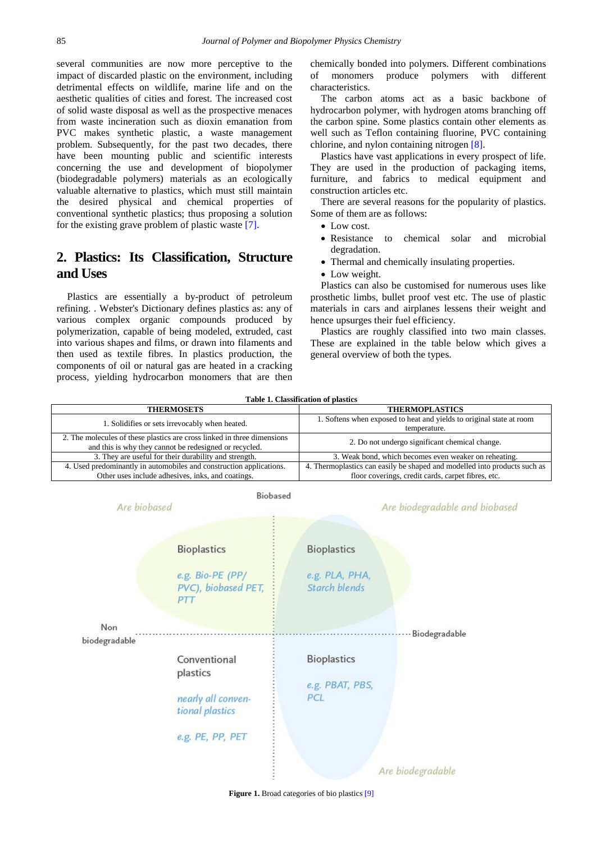several communities are now more perceptive to the impact of discarded plastic on the environment, including detrimental effects on wildlife, marine life and on the aesthetic qualities of cities and forest. The increased cost of solid waste disposal as well as the prospective menaces from waste incineration such as dioxin emanation from PVC makes synthetic plastic, a waste management problem. Subsequently, for the past two decades, there have been mounting public and scientific interests concerning the use and development of biopolymer (biodegradable polymers) materials as an ecologically valuable alternative to plastics, which must still maintain the desired physical and chemical properties of conventional synthetic plastics; thus proposing a solution for the existing grave problem of plastic waste [\[7\].](#page-6-5)

# **2. Plastics: Its Classification, Structure and Uses**

Plastics are essentially a by-product of petroleum refining. . Webster's Dictionary defines plastics as: any of various complex organic compounds produced by polymerization, capable of being modeled, extruded, cast into various shapes and films, or drawn into filaments and then used as textile fibres. In plastics production, the components of oil or natural gas are heated in a cracking process, yielding hydrocarbon monomers that are then chemically bonded into polymers. Different combinations of monomers produce polymers with different characteristics.

The carbon atoms act as a basic backbone of hydrocarbon polymer, with hydrogen atoms branching off the carbon spine. Some plastics contain other elements as well such as Teflon containing fluorine, PVC containing chlorine, and nylon containing nitrogen [\[8\].](#page-6-6)

Plastics have vast applications in every prospect of life. They are used in the production of packaging items, furniture, and fabrics to medical equipment and construction articles etc.

There are several reasons for the popularity of plastics. Some of them are as follows:

- Low cost.
- Resistance to chemical solar and microbial degradation.
- Thermal and chemically insulating properties.
- Low weight.

Plastics can also be customised for numerous uses like prosthetic limbs, bullet proof vest etc. The use of plastic materials in cars and airplanes lessens their weight and hence upsurges their fuel efficiency.

Plastics are roughly classified into two main classes. These are explained in the table below which gives a general overview of both the types.

|  |  | Table 1. Classification of plastics |  |  |
|--|--|-------------------------------------|--|--|
|--|--|-------------------------------------|--|--|

| <b>THERMOSETS</b>                                                                                                                 | <b>THERMOPLASTICS</b>                                                                                                           |  |  |
|-----------------------------------------------------------------------------------------------------------------------------------|---------------------------------------------------------------------------------------------------------------------------------|--|--|
| 1. Solidifies or sets irrevocably when heated.                                                                                    | 1. Softens when exposed to heat and yields to original state at room<br>temperature.                                            |  |  |
| 2. The molecules of these plastics are cross linked in three dimensions<br>and this is why they cannot be redesigned or recycled. | 2. Do not undergo significant chemical change.                                                                                  |  |  |
| 3. They are useful for their durability and strength.                                                                             | 3. Weak bond, which becomes even weaker on reheating.                                                                           |  |  |
| 4. Used predominantly in automobiles and construction applications.<br>Other uses include adhesives, inks, and coatings.          | 4. Thermoplastics can easily be shaped and modelled into products such as<br>floor coverings, credit cards, carpet fibres, etc. |  |  |
|                                                                                                                                   |                                                                                                                                 |  |  |



**Figure 1.** Broad categories of bio plastics [\[9\]](#page-6-7)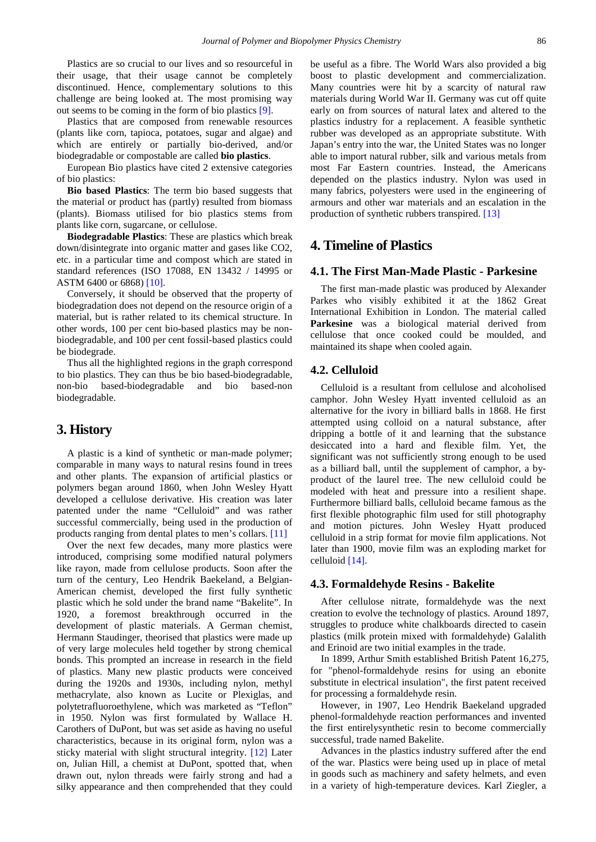Plastics are so crucial to our lives and so resourceful in their usage, that their usage cannot be completely discontinued. Hence, complementary solutions to this challenge are being looked at. The most promising way out seems to be coming in the form of bio plastics [\[9\].](#page-6-7)

Plastics that are composed from renewable resources (plants like corn, tapioca, potatoes, sugar and algae) and which are entirely or partially bio-derived, and/or biodegradable or compostable are called **bio plastics**.

European Bio plastics have cited 2 extensive categories of bio plastics:

**Bio based Plastics**: The term bio based suggests that the material or product has (partly) resulted from biomass (plants). Biomass utilised for bio plastics stems from plants like corn, sugarcane, or cellulose.

**Biodegradable Plastics**: These are plastics which break down/disintegrate into organic matter and gases like CO2, etc. in a particular time and compost which are stated in standard references (ISO 17088, EN 13432 / 14995 or ASTM 6400 or 6868) [\[10\].](#page-6-8)

Conversely, it should be observed that the property of biodegradation does not depend on the resource origin of a material, but is rather related to its chemical structure. In other words, 100 per cent bio-based plastics may be nonbiodegradable, and 100 per cent fossil-based plastics could be biodegrade.

Thus all the highlighted regions in the graph correspond to bio plastics. They can thus be bio based-biodegradable, non-bio based-biodegradable and bio based-non biodegradable.

### **3. History**

A plastic is a kind of synthetic or man-made polymer; comparable in many ways to natural resins found in trees and other plants. The expansion of artificial plastics or polymers began around 1860, when John Wesley Hyatt developed a cellulose derivative. His creation was later patented under the name "Celluloid" and was rather successful commercially, being used in the production of products ranging from dental plates to men's collars. [\[11\]](#page-6-9)

Over the next few decades, many more plastics were introduced, comprising some modified natural polymers like rayon, made from cellulose products. Soon after the turn of the century, Leo Hendrik Baekeland, a Belgian-American chemist, developed the first fully synthetic plastic which he sold under the brand name "Bakelite". In 1920, a foremost breakthrough occurred in the development of plastic materials. A German chemist, Hermann Staudinger, theorised that plastics were made up of very large molecules held together by strong chemical bonds. This prompted an increase in research in the field of plastics. Many new plastic products were conceived during the 1920s and 1930s, including nylon, methyl methacrylate, also known as Lucite or Plexiglas, and polytetrafluoroethylene, which was marketed as "Teflon" in 1950. Nylon was first formulated by Wallace H. Carothers of DuPont, but was set aside as having no useful characteristics, because in its original form, nylon was a sticky material with slight structural integrity. [\[12\]](#page-6-10) Later on, Julian Hill, a chemist at DuPont, spotted that, when drawn out, nylon threads were fairly strong and had a silky appearance and then comprehended that they could be useful as a fibre. The World Wars also provided a big boost to plastic development and commercialization. Many countries were hit by a scarcity of natural raw materials during World War II. Germany was cut off quite early on from sources of natural latex and altered to the plastics industry for a replacement. A feasible synthetic rubber was developed as an appropriate substitute. With Japan's entry into the war, the United States was no longer able to import natural rubber, silk and various metals from most Far Eastern countries. Instead, the Americans depended on the plastics industry. Nylon was used in many fabrics, polyesters were used in the engineering of armours and other war materials and an escalation in the production of synthetic rubbers transpired. [\[13\]](#page-6-11)

# **4. Timeline of Plastics**

#### **4.1. The First Man-Made Plastic - Parkesine**

The first man-made plastic was produced by Alexander Parkes who visibly exhibited it at the 1862 Great International Exhibition in London. The material called **Parkesine** was a biological material derived from cellulose that once cooked could be moulded, and maintained its shape when cooled again.

#### **4.2. Celluloid**

Celluloid is a resultant from cellulose and alcoholised camphor. John Wesley Hyatt invented celluloid as an alternative for the ivory in billiard balls in 1868. He first attempted using colloid on a natural substance, after dripping a bottle of it and learning that the substance desiccated into a hard and flexible film. Yet, the significant was not sufficiently strong enough to be used as a billiard ball, until the supplement of camphor, a byproduct of the laurel tree. The new celluloid could be modeled with heat and pressure into a resilient shape. Furthermore billiard balls, celluloid became famous as the first flexible photographic film used for still photography and motion pictures. John Wesley Hyatt produced celluloid in a strip format for movie film applications. Not later than 1900, movie film was an exploding market for celluloid [\[14\].](#page-6-12)

#### **4.3. Formaldehyde Resins - Bakelite**

After cellulose nitrate, formaldehyde was the next creation to evolve the technology of plastics. Around 1897, struggles to produce white chalkboards directed to casein plastics (milk protein mixed with formaldehyde) Galalith and Erinoid are two initial examples in the trade.

In 1899, Arthur Smith established British Patent 16,275, for "phenol-formaldehyde resins for using an ebonite substitute in electrical insulation", the first patent received for processing a formaldehyde resin.

However, in 1907, Leo Hendrik Baekeland upgraded phenol-formaldehyde reaction performances and invented the first entirelysynthetic resin to become commercially successful, trade named Bakelite.

Advances in the plastics industry suffered after the end of the war. Plastics were being used up in place of metal in goods such as machinery and safety helmets, and even in a variety of high-temperature devices. Karl Ziegler, a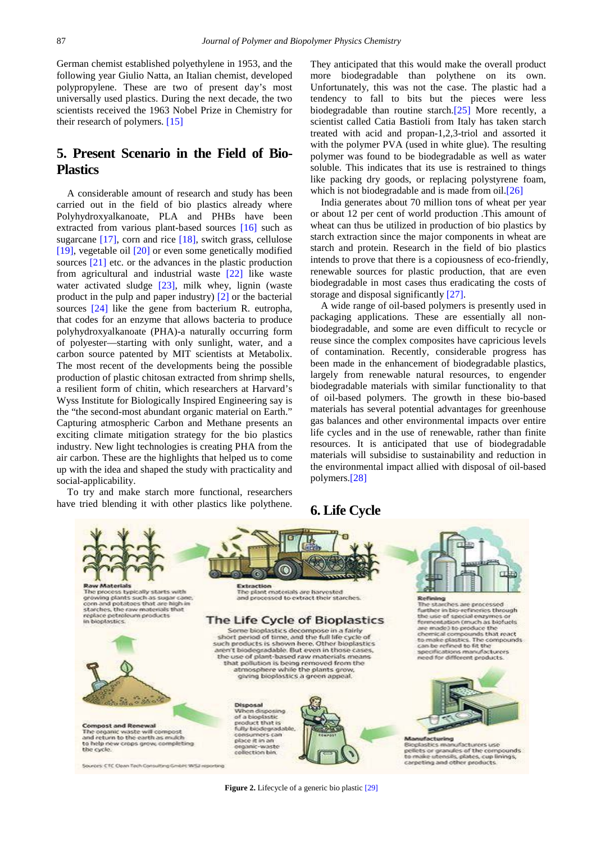German chemist established polyethylene in 1953, and the following year Giulio Natta, an Italian chemist, developed polypropylene. These are two of present day's most universally used plastics. During the next decade, the two scientists received the 1963 Nobel Prize in Chemistry for their research of polymers. [\[15\]](#page-6-13)

# **5. Present Scenario in the Field of Bio-Plastics**

A considerable amount of research and study has been carried out in the field of bio plastics already where Polyhydroxyalkanoate, PLA and PHBs have been extracted from various plant-based sources [\[16\]](#page-6-14) such as sugarcane [\[17\],](#page-6-15) corn and rice [\[18\],](#page-6-16) switch grass, cellulose [\[19\],](#page-6-17) vegetable oil [\[20\]](#page-6-18) or even some genetically modified sources [\[21\]](#page-6-19) etc. or the advances in the plastic production from agricultural and industrial waste [\[22\]](#page-6-20) like waste water activated sludge [\[23\],](#page-6-21) milk whey, lignin (waste product in the pulp and paper industry) [\[2\]](#page-6-1) or the bacterial sources [\[24\]](#page-6-22) like the gene from bacterium R. eutropha, that codes for an enzyme that allows bacteria to produce polyhydroxyalkanoate (PHA)-a naturally occurring form of polyester—starting with only sunlight, water, and a carbon source patented by MIT scientists at Metabolix. The most recent of the developments being the possible production of plastic chitosan extracted from shrimp shells, a resilient form of chitin, which researchers at Harvard's Wyss Institute for Biologically Inspired Engineering say is the "the second-most abundant organic material on Earth." Capturing atmospheric Carbon and Methane presents an exciting climate mitigation strategy for the bio plastics industry. New light technologies is creating PHA from the air carbon. These are the highlights that helped us to come up with the idea and shaped the study with practicality and social-applicability.

To try and make starch more functional, researchers have tried blending it with other plastics like polythene. They anticipated that this would make the overall product more biodegradable than polythene on its own. Unfortunately, this was not the case. The plastic had a tendency to fall to bits but the pieces were less biodegradable than routine starc[h.\[25\]](#page-6-23) More recently, a scientist called Catia Bastioli from Italy has taken starch treated with acid and propan-1,2,3-triol and assorted it with the polymer PVA (used in white glue). The resulting polymer was found to be biodegradable as well as water soluble. This indicates that its use is restrained to things like packing dry goods, or replacing polystyrene foam, which is not biodegradable and is made from oil.<sup>[26]</sup>

India generates about 70 million tons of wheat per year or about 12 per cent of world production .This amount of wheat can thus be utilized in production of bio plastics by starch extraction since the major components in wheat are starch and protein. Research in the field of bio plastics intends to prove that there is a copiousness of eco-friendly, renewable sources for plastic production, that are even biodegradable in most cases thus eradicating the costs of storage and disposal significantly [\[27\].](#page-6-25)

A wide range of oil-based polymers is presently used in packaging applications. These are essentially all nonbiodegradable, and some are even difficult to recycle or reuse since the complex composites have capricious levels of contamination. Recently, considerable progress has been made in the enhancement of biodegradable plastics, largely from renewable natural resources, to engender biodegradable materials with similar functionality to that of oil-based polymers. The growth in these bio-based materials has several potential advantages for greenhouse gas balances and other environmental impacts over entire life cycles and in the use of renewable, rather than finite resources. It is anticipated that use of biodegradable materials will subsidise to sustainability and reduction in the environmental impact allied with disposal of oil-based polymers[.\[28\]](#page-6-26)

# **6. Life Cycle**



**Figure 2.** Lifecycle of a generic bio plasti[c \[29\]](#page-6-27)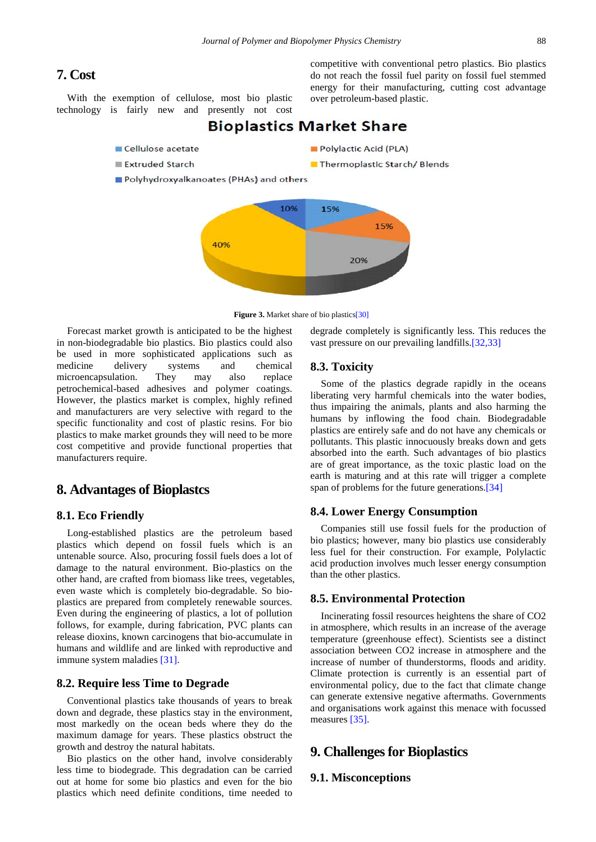# **7. Cost**

With the exemption of cellulose, most bio plastic technology is fairly new and presently not cost

- **Bioplastics Market Share**
- Cellulose acetate
- **Extruded Starch**
- Polyhydroxyalkanoates (PHAs) and others





Forecast market growth is anticipated to be the highest in non-biodegradable bio plastics. Bio plastics could also be used in more sophisticated applications such as<br>medicine delivery systems and chemical delivery systems and chemical microencapsulation. They may also replace petrochemical-based adhesives and polymer coatings. However, the plastics market is complex, highly refined and manufacturers are very selective with regard to the specific functionality and cost of plastic resins. For bio plastics to make market grounds they will need to be more cost competitive and provide functional properties that manufacturers require.

# **8. Advantages of Bioplastcs**

### **8.1. Eco Friendly**

Long-established plastics are the petroleum based plastics which depend on fossil fuels which is an untenable source. Also, procuring fossil fuels does a lot of damage to the natural environment. Bio-plastics on the other hand, are crafted from biomass like trees, vegetables, even waste which is completely bio-degradable. So bioplastics are prepared from completely renewable sources. Even during the engineering of plastics, a lot of pollution follows, for example, during fabrication, PVC plants can release dioxins, known carcinogens that bio-accumulate in humans and wildlife and are linked with reproductive and immune system maladies [\[31\].](#page-6-29)

#### **8.2. Require less Time to Degrade**

Conventional plastics take thousands of years to break down and degrade, these plastics stay in the environment, most markedly on the ocean beds where they do the maximum damage for years. These plastics obstruct the growth and destroy the natural habitats.

Bio plastics on the other hand, involve considerably less time to biodegrade. This degradation can be carried out at home for some bio plastics and even for the bio plastics which need definite conditions, time needed to degrade completely is significantly less. This reduces the vast pressure on our prevailing landfills[.\[32,33\]](#page-6-30)

competitive with conventional petro plastics. Bio plastics do not reach the fossil fuel parity on fossil fuel stemmed energy for their manufacturing, cutting cost advantage

#### **8.3. Toxicity**

Some of the plastics degrade rapidly in the oceans liberating very harmful chemicals into the water bodies, thus impairing the animals, plants and also harming the humans by inflowing the food chain. Biodegradable plastics are entirely safe and do not have any chemicals or pollutants. This plastic innocuously breaks down and gets absorbed into the earth. Such advantages of bio plastics are of great importance, as the toxic plastic load on the earth is maturing and at this rate will trigger a complete span of problems for the future generations[.\[34\]](#page-6-31)

#### **8.4. Lower Energy Consumption**

Companies still use fossil fuels for the production of bio plastics; however, many bio plastics use considerably less fuel for their construction. For example, Polylactic acid production involves much lesser energy consumption than the other plastics.

#### **8.5. Environmental Protection**

Incinerating fossil resources heightens the share of CO2 in atmosphere, which results in an increase of the average temperature (greenhouse effect). Scientists see a distinct association between CO2 increase in atmosphere and the increase of number of thunderstorms, floods and aridity. Climate protection is currently is an essential part of environmental policy, due to the fact that climate change can generate extensive negative aftermaths. Governments and organisations work against this menace with focussed measures [\[35\].](#page-6-32)

# **9. Challenges for Bioplastics**

#### **9.1. Misconceptions**

Polylactic Acid (PLA)

Thermoplastic Starch/Blends

over petroleum-based plastic.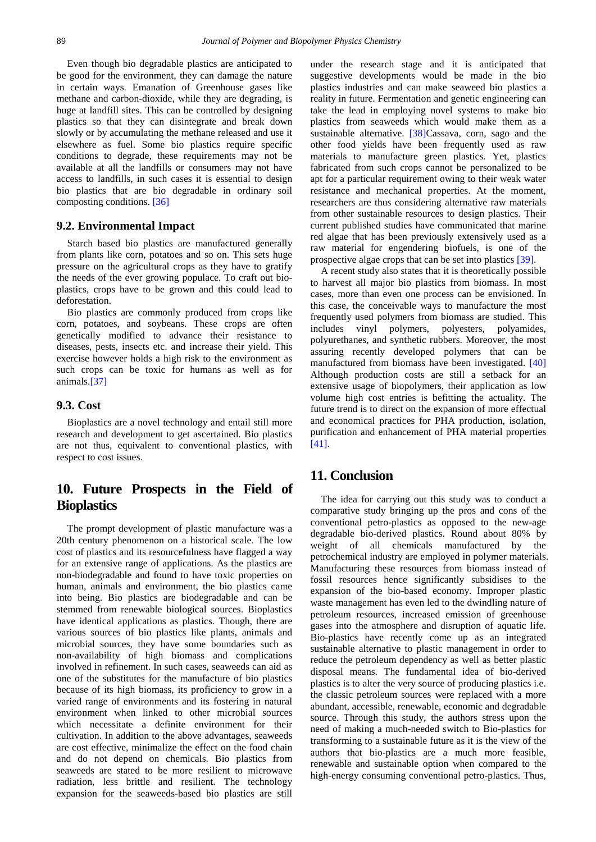Even though bio degradable plastics are anticipated to be good for the environment, they can damage the nature in certain ways. Emanation of Greenhouse gases like methane and carbon-dioxide, while they are degrading, is huge at landfill sites. This can be controlled by designing plastics so that they can disintegrate and break down slowly or by accumulating the methane released and use it elsewhere as fuel. Some bio plastics require specific conditions to degrade, these requirements may not be available at all the landfills or consumers may not have access to landfills, in such cases it is essential to design bio plastics that are bio degradable in ordinary soil composting conditions. [\[36\]](#page-6-33)

#### **9.2. Environmental Impact**

Starch based bio plastics are manufactured generally from plants like corn, potatoes and so on. This sets huge pressure on the agricultural crops as they have to gratify the needs of the ever growing populace. To craft out bioplastics, crops have to be grown and this could lead to deforestation.

Bio plastics are commonly produced from crops like corn, potatoes, and soybeans. These crops are often genetically modified to advance their resistance to diseases, pests, insects etc. and increase their yield. This exercise however holds a high risk to the environment as such crops can be toxic for humans as well as for animals[.\[37\]](#page-6-34)

#### **9.3. Cost**

Bioplastics are a novel technology and entail still more research and development to get ascertained. Bio plastics are not thus, equivalent to conventional plastics, with respect to cost issues.

# **10. Future Prospects in the Field of Bioplastics**

The prompt development of plastic manufacture was a 20th century phenomenon on a historical scale. The low cost of plastics and its resourcefulness have flagged a way for an extensive range of applications. As the plastics are non-biodegradable and found to have toxic properties on human, animals and environment, the bio plastics came into being. Bio plastics are biodegradable and can be stemmed from renewable biological sources. Bioplastics have identical applications as plastics. Though, there are various sources of bio plastics like plants, animals and microbial sources, they have some boundaries such as non-availability of high biomass and complications involved in refinement. In such cases, seaweeds can aid as one of the substitutes for the manufacture of bio plastics because of its high biomass, its proficiency to grow in a varied range of environments and its fostering in natural environment when linked to other microbial sources which necessitate a definite environment for their cultivation. In addition to the above advantages, seaweeds are cost effective, minimalize the effect on the food chain and do not depend on chemicals. Bio plastics from seaweeds are stated to be more resilient to microwave radiation, less brittle and resilient. The technology expansion for the seaweeds-based bio plastics are still

under the research stage and it is anticipated that suggestive developments would be made in the bio plastics industries and can make seaweed bio plastics a reality in future. Fermentation and genetic engineering can take the lead in employing novel systems to make bio plastics from seaweeds which would make them as a sustainable alternative. [\[38\]C](#page-6-35)assava, corn, sago and the other food yields have been frequently used as raw materials to manufacture green plastics. Yet, plastics fabricated from such crops cannot be personalized to be apt for a particular requirement owing to their weak water resistance and mechanical properties. At the moment, researchers are thus considering alternative raw materials from other sustainable resources to design plastics. Their current published studies have communicated that marine red algae that has been previously extensively used as a raw material for engendering biofuels, is one of the prospective algae crops that can be set into plastics [\[39\].](#page-6-36)

A recent study also states that it is theoretically possible to harvest all major bio plastics from biomass. In most cases, more than even one process can be envisioned. In this case, the conceivable ways to manufacture the most frequently used polymers from biomass are studied. This includes vinyl polymers, polyesters, polyamides, polyurethanes, and synthetic rubbers. Moreover, the most assuring recently developed polymers that can be manufactured from biomass have been investigated. [\[40\]](#page-6-37) Although production costs are still a setback for an extensive usage of biopolymers, their application as low volume high cost entries is befitting the actuality. The future trend is to direct on the expansion of more effectual and economical practices for PHA production, isolation, purification and enhancement of PHA material properties [\[41\].](#page-6-38)

# **11. Conclusion**

The idea for carrying out this study was to conduct a comparative study bringing up the pros and cons of the conventional petro-plastics as opposed to the new-age degradable bio-derived plastics. Round about 80% by weight of all chemicals manufactured by the petrochemical industry are employed in polymer materials. Manufacturing these resources from biomass instead of fossil resources hence significantly subsidises to the expansion of the bio-based economy. Improper plastic waste management has even led to the dwindling nature of petroleum resources, increased emission of greenhouse gases into the atmosphere and disruption of aquatic life. Bio-plastics have recently come up as an integrated sustainable alternative to plastic management in order to reduce the petroleum dependency as well as better plastic disposal means. The fundamental idea of bio-derived plastics is to alter the very source of producing plastics i.e. the classic petroleum sources were replaced with a more abundant, accessible, renewable, economic and degradable source. Through this study, the authors stress upon the need of making a much-needed switch to Bio-plastics for transforming to a sustainable future as it is the view of the authors that bio-plastics are a much more feasible, renewable and sustainable option when compared to the high-energy consuming conventional petro-plastics. Thus,